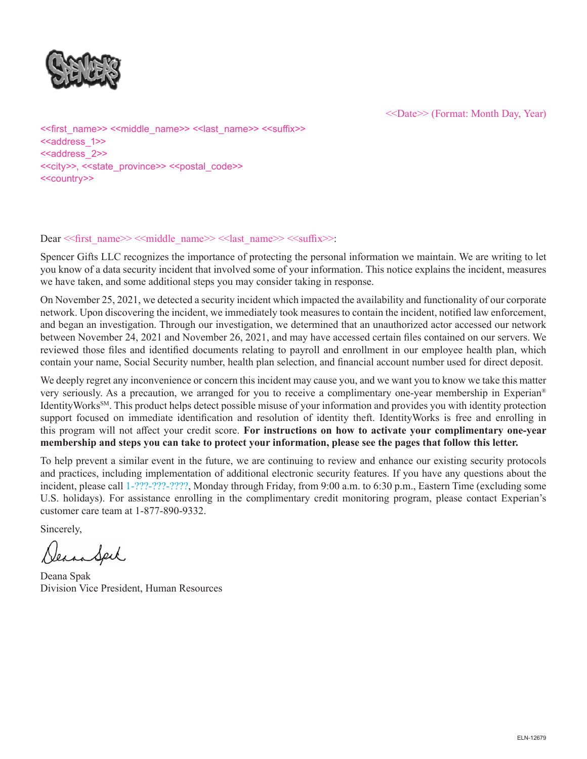

<<Date>> (Format: Month Day, Year)

<<first\_name>> <<middle\_name>> <<last\_name>> <<suffix>> <<address\_1>> <<address\_2>> <<city>>, <<state\_province>> <<postal\_code>> <<country>>

#### Dear << first\_name>> << middle\_name>> << last\_name>> << suffix>>:

Spencer Gifts LLC recognizes the importance of protecting the personal information we maintain. We are writing to let you know of a data security incident that involved some of your information. This notice explains the incident, measures we have taken, and some additional steps you may consider taking in response.

On November 25, 2021, we detected a security incident which impacted the availability and functionality of our corporate network. Upon discovering the incident, we immediately took measures to contain the incident, notified law enforcement, and began an investigation. Through our investigation, we determined that an unauthorized actor accessed our network between November 24, 2021 and November 26, 2021, and may have accessed certain files contained on our servers. We reviewed those files and identified documents relating to payroll and enrollment in our employee health plan, which contain your name, Social Security number, health plan selection, and financial account number used for direct deposit.

We deeply regret any inconvenience or concern this incident may cause you, and we want you to know we take this matter very seriously. As a precaution, we arranged for you to receive a complimentary one-year membership in Experian® IdentityWorks<sup>SM</sup>. This product helps detect possible misuse of your information and provides you with identity protection support focused on immediate identification and resolution of identity theft. IdentityWorks is free and enrolling in this program will not affect your credit score. **For instructions on how to activate your complimentary one-year membership and steps you can take to protect your information, please see the pages that follow this letter.**

To help prevent a similar event in the future, we are continuing to review and enhance our existing security protocols and practices, including implementation of additional electronic security features. If you have any questions about the incident, please call 1-???-???-????, Monday through Friday, from 9:00 a.m. to 6:30 p.m., Eastern Time (excluding some U.S. holidays). For assistance enrolling in the complimentary credit monitoring program, please contact Experian's customer care team at 1-877-890-9332.

Sincerely,

VeinSeil

Deana Spak Division Vice President, Human Resources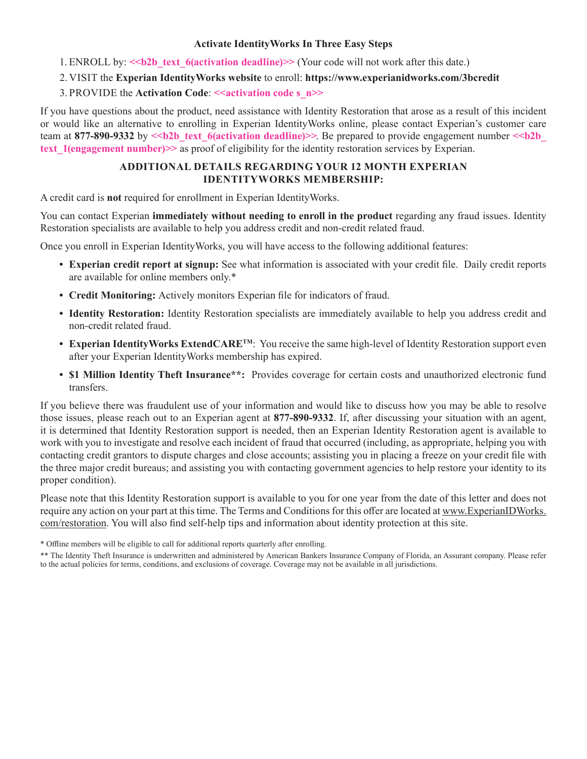#### **Activate IdentityWorks In Three Easy Steps**

- 1. ENROLL by:  $\le b2b$  text 6(activation deadline)>> (Your code will not work after this date.)
- 2. VISIT the **Experian IdentityWorks website** to enroll: **https://www.experianidworks.com/3bcredit**
- 3. PROVIDE the **Activation Code**: **<<activation code s\_n>>**

If you have questions about the product, need assistance with Identity Restoration that arose as a result of this incident or would like an alternative to enrolling in Experian IdentityWorks online, please contact Experian's customer care team at 877-890-9332 by  $\leq b2b$  text 6(activation deadline)>>. Be prepared to provide engagement number  $\leq b2b$ **text\_1(engagement number)>>** as proof of eligibility for the identity restoration services by Experian.

### **ADDITIONAL DETAILS REGARDING YOUR 12 MONTH EXPERIAN IDENTITYWORKS MEMBERSHIP:**

A credit card is **not** required for enrollment in Experian IdentityWorks.

You can contact Experian **immediately without needing to enroll in the product** regarding any fraud issues. Identity Restoration specialists are available to help you address credit and non-credit related fraud.

Once you enroll in Experian IdentityWorks, you will have access to the following additional features:

- **• Experian credit report at signup:** See what information is associated with your credit file. Daily credit reports are available for online members only.\*
- **• Credit Monitoring:** Actively monitors Experian file for indicators of fraud.
- **• Identity Restoration:** Identity Restoration specialists are immediately available to help you address credit and non-credit related fraud.
- **• Experian IdentityWorks ExtendCARETM**: You receive the same high-level of Identity Restoration support even after your Experian IdentityWorks membership has expired.
- **• \$1 Million Identity Theft Insurance\*\*:** Provides coverage for certain costs and unauthorized electronic fund transfers.

If you believe there was fraudulent use of your information and would like to discuss how you may be able to resolve those issues, please reach out to an Experian agent at **877-890-9332**. If, after discussing your situation with an agent, it is determined that Identity Restoration support is needed, then an Experian Identity Restoration agent is available to work with you to investigate and resolve each incident of fraud that occurred (including, as appropriate, helping you with contacting credit grantors to dispute charges and close accounts; assisting you in placing a freeze on your credit file with the three major credit bureaus; and assisting you with contacting government agencies to help restore your identity to its proper condition).

Please note that this Identity Restoration support is available to you for one year from the date of this letter and does not require any action on your part at this time. The Terms and Conditions for this offer are located at www.ExperianIDWorks. com/restoration. You will also find self-help tips and information about identity protection at this site.

<sup>\*</sup> Offline members will be eligible to call for additional reports quarterly after enrolling.

<sup>\*\*</sup> The Identity Theft Insurance is underwritten and administered by American Bankers Insurance Company of Florida, an Assurant company. Please refer to the actual policies for terms, conditions, and exclusions of coverage. Coverage may not be available in all jurisdictions.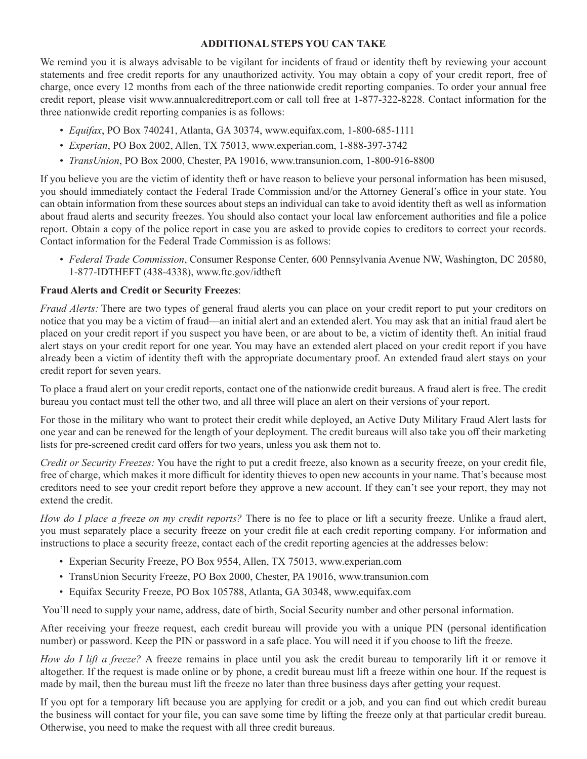#### **ADDITIONAL STEPS YOU CAN TAKE**

We remind you it is always advisable to be vigilant for incidents of fraud or identity theft by reviewing your account statements and free credit reports for any unauthorized activity. You may obtain a copy of your credit report, free of charge, once every 12 months from each of the three nationwide credit reporting companies. To order your annual free credit report, please visit www.annualcreditreport.com or call toll free at 1-877-322-8228. Contact information for the three nationwide credit reporting companies is as follows:

- *• Equifax*, PO Box 740241, Atlanta, GA 30374, www.equifax.com, 1-800-685-1111
- *• Experian*, PO Box 2002, Allen, TX 75013, www.experian.com, 1-888-397-3742
- *• TransUnion*, PO Box 2000, Chester, PA 19016, www.transunion.com, 1-800-916-8800

If you believe you are the victim of identity theft or have reason to believe your personal information has been misused, you should immediately contact the Federal Trade Commission and/or the Attorney General's office in your state. You can obtain information from these sources about steps an individual can take to avoid identity theft as well as information about fraud alerts and security freezes. You should also contact your local law enforcement authorities and file a police report. Obtain a copy of the police report in case you are asked to provide copies to creditors to correct your records. Contact information for the Federal Trade Commission is as follows:

*• Federal Trade Commission*, Consumer Response Center, 600 Pennsylvania Avenue NW, Washington, DC 20580, 1-877-IDTHEFT (438-4338), www.ftc.gov/idtheft

## **Fraud Alerts and Credit or Security Freezes**:

*Fraud Alerts:* There are two types of general fraud alerts you can place on your credit report to put your creditors on notice that you may be a victim of fraud—an initial alert and an extended alert. You may ask that an initial fraud alert be placed on your credit report if you suspect you have been, or are about to be, a victim of identity theft. An initial fraud alert stays on your credit report for one year. You may have an extended alert placed on your credit report if you have already been a victim of identity theft with the appropriate documentary proof. An extended fraud alert stays on your credit report for seven years.

To place a fraud alert on your credit reports, contact one of the nationwide credit bureaus. A fraud alert is free. The credit bureau you contact must tell the other two, and all three will place an alert on their versions of your report.

For those in the military who want to protect their credit while deployed, an Active Duty Military Fraud Alert lasts for one year and can be renewed for the length of your deployment. The credit bureaus will also take you off their marketing lists for pre-screened credit card offers for two years, unless you ask them not to.

*Credit or Security Freezes:* You have the right to put a credit freeze, also known as a security freeze, on your credit file, free of charge, which makes it more difficult for identity thieves to open new accounts in your name. That's because most creditors need to see your credit report before they approve a new account. If they can't see your report, they may not extend the credit.

*How do I place a freeze on my credit reports?* There is no fee to place or lift a security freeze. Unlike a fraud alert, you must separately place a security freeze on your credit file at each credit reporting company. For information and instructions to place a security freeze, contact each of the credit reporting agencies at the addresses below:

- Experian Security Freeze, PO Box 9554, Allen, TX 75013, www.experian.com
- TransUnion Security Freeze, PO Box 2000, Chester, PA 19016, www.transunion.com
- Equifax Security Freeze, PO Box 105788, Atlanta, GA 30348, www.equifax.com

You'll need to supply your name, address, date of birth, Social Security number and other personal information.

After receiving your freeze request, each credit bureau will provide you with a unique PIN (personal identification number) or password. Keep the PIN or password in a safe place. You will need it if you choose to lift the freeze.

*How do I lift a freeze?* A freeze remains in place until you ask the credit bureau to temporarily lift it or remove it altogether. If the request is made online or by phone, a credit bureau must lift a freeze within one hour. If the request is made by mail, then the bureau must lift the freeze no later than three business days after getting your request.

If you opt for a temporary lift because you are applying for credit or a job, and you can find out which credit bureau the business will contact for your file, you can save some time by lifting the freeze only at that particular credit bureau. Otherwise, you need to make the request with all three credit bureaus.